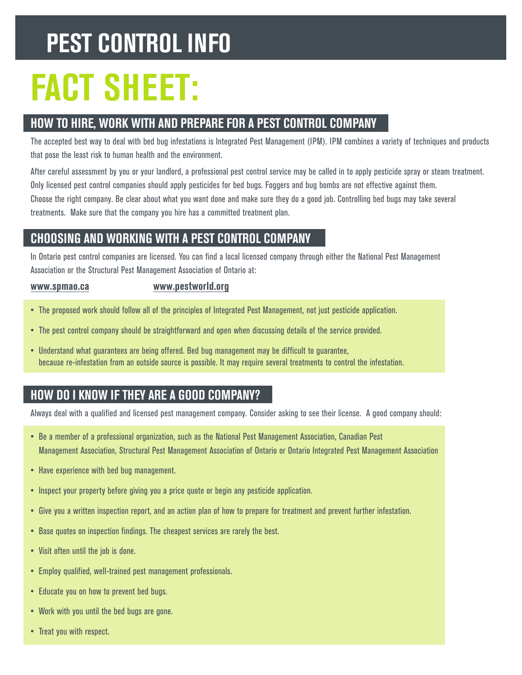## **peSt control inFo**

# **Fact Sheet:**

## **how to hire, work with and prepare For a peSt control company**

The accepted best way to deal with bed bug infestations is Integrated Pest Management (IPM). IPM combines a variety of techniques and products that pose the least risk to human health and the environment.

After careful assessment by you or your landlord, a professional pest control service may be called in to apply pesticide spray or steam treatment. Only licensed pest control companies should apply pesticides for bed bugs. Foggers and bug bombs are not effective against them. Choose the right company. Be clear about what you want done and make sure they do a good job. Controlling bed bugs may take several treatments. Make sure that the company you hire has a committed treatment plan.

## **chooSing and working with a peSt control company**

In Ontario pest control companies are licensed. You can find a local licensed company through either the National Pest Management Association or the Structural Pest Management Association of Ontario at:

#### www.spmao.ca

**[www.spmao.ca](http://www.spmao.ca) [www.pestworld.org](http://www.pestworld.org)** 

- The proposed work should follow all of the principles of Integrated Pest Management, not just pesticide application.
- The pest control company should be straightforward and open when discussing details of the service provided.
- Understand what guarantees are being offered. Bed bug management may be difficult to guarantee, because re-infestation from an outside source is possible. It may require several treatments to control the infestation.

## **how do i know iF they are a good company?**

Always deal with a qualified and licensed pest management company. Consider asking to see their license. A good company should:

- Be a member of a professional organization, such as the National Pest Management Association, Canadian Pest Management Association, Structural Pest Management Association of Ontario or Ontario Integrated Pest Management Association
- Have experience with bed bug management.
- Inspect your property before giving you a price quote or begin any pesticide application.
- Give you a written inspection report, and an action plan of how to prepare for treatment and prevent further infestation.
- Base quotes on inspection findings. The cheapest services are rarely the best.
- Visit often until the job is done.
- Employ qualified, well-trained pest management professionals.
- Educate you on how to prevent bed bugs.
- Work with you until the bed bugs are gone.
- Treat you with respect.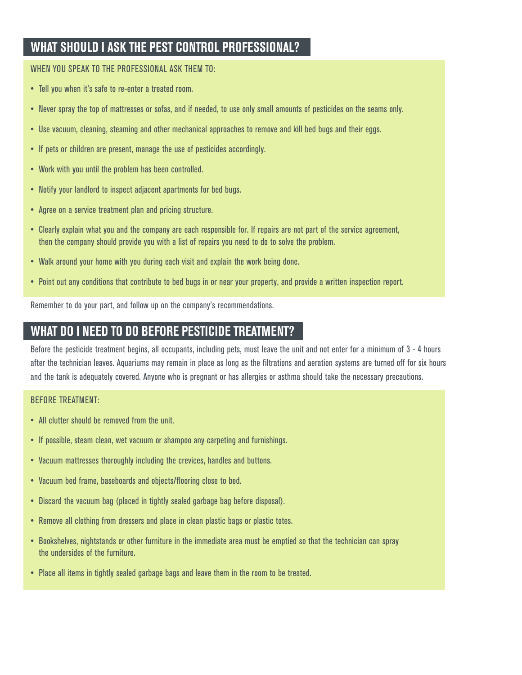## **WHAT SHOULD I ASK THE PEST CONTROL PROFESSIONAL?**

#### WhEN yoU sPEAk To ThE ProfEssIoNAl Ask ThEM To:

- Tell you when it's safe to re-enter a treated room.
- Never spray the top of mattresses or sofas, and if needed, to use only small amounts of pesticides on the seams only.
- Use vacuum, cleaning, steaming and other mechanical approaches to remove and kill bed bugs and their eggs.
- If pets or children are present, manage the use of pesticides accordingly.
- Work with you until the problem has been controlled.
- Notify your landlord to inspect adjacent apartments for bed bugs.
- Agree on a service treatment plan and pricing structure.
- Clearly explain what you and the company are each responsible for. If repairs are not part of the service agreement, then the company should provide you with a list of repairs you need to do to solve the problem.
- Walk around your home with you during each visit and explain the work being done.
- Point out any conditions that contribute to bed bugs in or near your property, and provide a written inspection report.

Remember to do your part, and follow up on the company's recommendations.

## **what do i need to do BeFore peSticide treatment?**

WHAT SHOULD I ASK THE PEST CONTROL PROFESSIONAL?<br>WHEN YOU SPEAK TO THE PROFESSIONAL ASK THEM TO:<br>• Tell you when it's safe to re-enter a treated room.<br>• Wever spray the top of mattresses or sofas, and if needed, to use onl Before the pesticide treatment begins, all occupants, including pets, must leave the unit and not enter for a minimum of 3 - 4 hours after the technician leaves. Aquariums may remain in place as long as the filtrations and aeration systems are turned off for six hours and the tank is adequately covered. Anyone who is pregnant or has allergies or asthma should take the necessary precautions.

#### BEforE TrEATMENT:

- All clutter should be removed from the unit.
- If possible, steam clean, wet vacuum or shampoo any carpeting and furnishings.
- Vacuum mattresses thoroughly including the crevices, handles and buttons.
- Vacuum bed frame, baseboards and objects/flooring close to bed.
- Discard the vacuum bag (placed in tightly sealed garbage bag before disposal).
- Remove all clothing from dressers and place in clean plastic bags or plastic totes.
- Bookshelves, nightstands or other furniture in the immediate area must be emptied so that the technician can spray the undersides of the furniture.
- Place all items in tightly sealed garbage bags and leave them in the room to be treated.